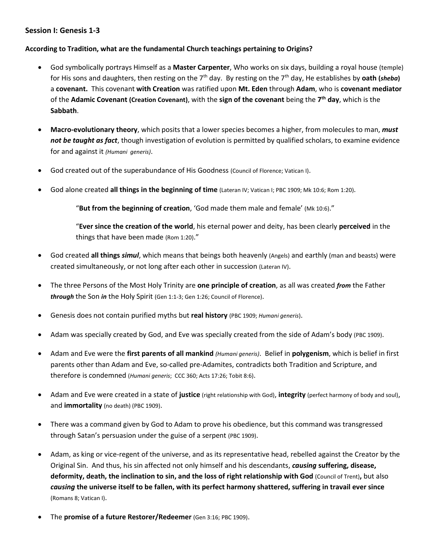## **Session I: Genesis 1-3**

## **According to Tradition, what are the fundamental Church teachings pertaining to Origins?**

- God symbolically portrays Himself as a **Master Carpenter**, Who works on six days, building a royal house (temple) for His sons and daughters, then resting on the 7th day. By resting on the 7th day, He establishes by **oath (***sheba***)** a **covenant.** This covenant **with Creation** was ratified upon **Mt. Eden** through **Adam**, who is **covenant mediator** of the **Adamic Covenant (Creation Covenant)**, with the **sign of the covenant** being the **7 th day**, which is the **Sabbath**.
- **Macro-evolutionary theory**, which posits that a lower species becomes a higher, from molecules to man, *must not be taught as fact*, though investigation of evolution is permitted by qualified scholars, to examine evidence for and against it *(Humani generis)*.
- God created out of the superabundance of His Goodness (Council of Florence; Vatican I).
- God alone created **all things in the beginning of time** (Lateran IV; Vatican I; PBC 1909; Mk 10:6; Rom 1:20).

"**But from the beginning of creation**, 'God made them male and female' (Mk 10:6)."

"**Ever since the creation of the world**, his eternal power and deity, has been clearly **perceived** in the things that have been made (Rom 1:20)."

- God created **all things** *simul*, which means that beings both heavenly (Angels) and earthly (man and beasts) were created simultaneously, or not long after each other in succession (Lateran IV).
- The three Persons of the Most Holy Trinity are **one principle of creation**, as all was created *from* the Father *through* the Son *in* the Holy Spirit (Gen 1:1-3; Gen 1:26; Council of Florence).
- Genesis does not contain purified myths but **real history** (PBC 1909; *Humani generis*).
- Adam was specially created by God, and Eve was specially created from the side of Adam's body (PBC 1909).
- Adam and Eve were the **first parents of all mankind** *(Humani generis)*. Belief in **polygenism**, which is belief in first parents other than Adam and Eve, so-called pre-Adamites, contradicts both Tradition and Scripture, and therefore is condemned (*Humani generis*; CCC 360; Acts 17:26; Tobit 8:6).
- Adam and Eve were created in a state of **justice** (right relationship with God), **integrity** (perfect harmony of body and soul), and **immortality** (no death) (PBC 1909).
- There was a command given by God to Adam to prove his obedience, but this command was transgressed through Satan's persuasion under the guise of a serpent (PBC 1909).
- Adam, as king or vice-regent of the universe, and as its representative head, rebelled against the Creator by the Original Sin. And thus, his sin affected not only himself and his descendants, *causing* **suffering, disease, deformity, death, the inclination to sin, and the loss of right relationship with God** (Council of Trent)**,** but also *causing* **the universe itself to be fallen, with its perfect harmony shattered, suffering in travail ever since** (Romans 8; Vatican I).
- The **promise of a future Restorer/Redeemer** (Gen 3:16; PBC 1909).